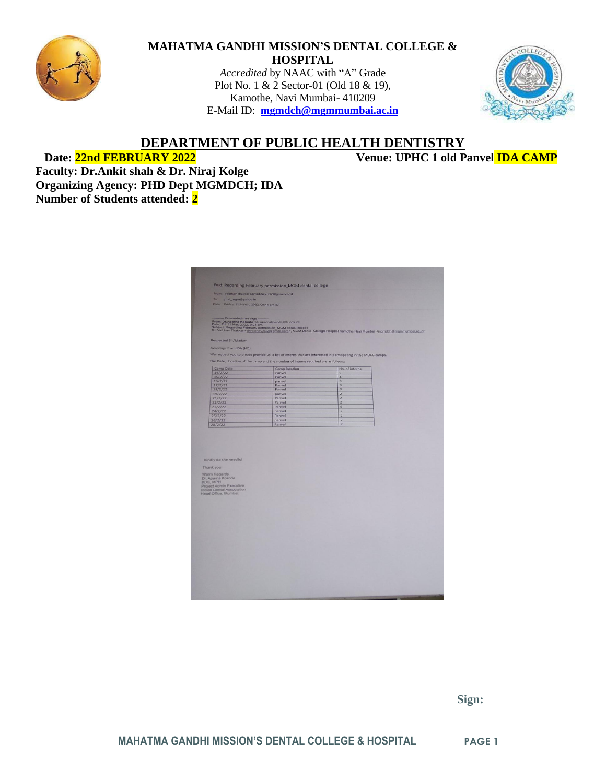

#### **MAHATMA GANDHI MISSION'S DENTAL COLLEGE & HOSPITAL**

*Accredited* by NAAC with "A" Grade Plot No. 1 & 2 Sector-01 (Old 18 & 19), Kamothe, Navi Mumbai- 410209 E-Mail ID: **[mgmdch@mgmmumbai.ac.in](mailto:mgmdch@mgmmumbai.ac.in)**



## **DEPARTMENT OF PUBLIC HEALTH DENTISTRY**

**Date: 22nd FEBRUARY 2022 Venue: UPHC 1 old Panvel IDA CAMP**

**Faculty: Dr.Ankit shah & Dr. Niraj Kolge Organizing Agency: PHD Dept MGMDCH; IDA Number of Students attended: 2**

|                                                        | Fwd: Regarding February permission_MGM dental college                             |                                                                                                                                                                                                                                                  |  |
|--------------------------------------------------------|-----------------------------------------------------------------------------------|--------------------------------------------------------------------------------------------------------------------------------------------------------------------------------------------------------------------------------------------------|--|
| From: Vaibhav Thakkar (drvaibhav.h32@gmail.com)<br>To: |                                                                                   |                                                                                                                                                                                                                                                  |  |
| phd_mgm@yahoo.in                                       |                                                                                   |                                                                                                                                                                                                                                                  |  |
| Date: Friday, 11 March, 2022, 09:44 am IST             |                                                                                   |                                                                                                                                                                                                                                                  |  |
|                                                        |                                                                                   |                                                                                                                                                                                                                                                  |  |
|                                                        |                                                                                   |                                                                                                                                                                                                                                                  |  |
|                                                        |                                                                                   |                                                                                                                                                                                                                                                  |  |
|                                                        |                                                                                   | – Formation message<br>From: Dr.Anams Kokseke<br>Subject, Fish Mar. 2022, 921 anatomatokode@Si.cra.in><br>Subject, Regarding February permission, MCM dental college<br>To: Valtihav Thakkar < <u>droal/the/h32@gmail.com</u> >, MGM Dental Coll |  |
|                                                        |                                                                                   |                                                                                                                                                                                                                                                  |  |
| Respected Sir/Madam                                    |                                                                                   |                                                                                                                                                                                                                                                  |  |
| Greetings from IDA (HO)                                |                                                                                   |                                                                                                                                                                                                                                                  |  |
|                                                        |                                                                                   | We request you to please provide us a list of interns that are interested in participating in the MOCC camps.                                                                                                                                    |  |
|                                                        | The Date, location of the camp and the number of interns required are as follows: |                                                                                                                                                                                                                                                  |  |
| Camp Date                                              | Camp location                                                                     | No. of interns                                                                                                                                                                                                                                   |  |
| 14/2/22                                                | Panvel                                                                            | $\overline{5}$                                                                                                                                                                                                                                   |  |
| 15/2/22                                                | Panvel                                                                            | $\overline{4}$                                                                                                                                                                                                                                   |  |
| 16/2/22                                                | panvel                                                                            | $\overline{\mathbf{3}}$                                                                                                                                                                                                                          |  |
| 17/2/22                                                | Panvel<br>Panvel                                                                  | $\overline{3}$<br>$\overline{\mathbf{3}}$                                                                                                                                                                                                        |  |
| 18/2/22<br>19/2/22                                     | panvel                                                                            | $\overline{2}$                                                                                                                                                                                                                                   |  |
| 21/2/22                                                | Panvel                                                                            | $\overline{2}$                                                                                                                                                                                                                                   |  |
| 22/2/22                                                | Panvel                                                                            | $\overline{2}$                                                                                                                                                                                                                                   |  |
| 23/2/22                                                | Panvel                                                                            | 6                                                                                                                                                                                                                                                |  |
| 24/2/22                                                | panvel                                                                            | $\overline{2}$<br>$\overline{z}$                                                                                                                                                                                                                 |  |
| 25/2/22<br>26/2/22                                     | Panvel<br>panyel                                                                  | $\overline{2}$                                                                                                                                                                                                                                   |  |
|                                                        |                                                                                   |                                                                                                                                                                                                                                                  |  |
| 28/2/22                                                | Panvel                                                                            | $\overline{2}$                                                                                                                                                                                                                                   |  |
|                                                        |                                                                                   |                                                                                                                                                                                                                                                  |  |
|                                                        |                                                                                   |                                                                                                                                                                                                                                                  |  |
|                                                        |                                                                                   |                                                                                                                                                                                                                                                  |  |
|                                                        |                                                                                   |                                                                                                                                                                                                                                                  |  |
|                                                        |                                                                                   |                                                                                                                                                                                                                                                  |  |
| Kindly do the needful                                  |                                                                                   |                                                                                                                                                                                                                                                  |  |
| Thank you                                              |                                                                                   |                                                                                                                                                                                                                                                  |  |
|                                                        |                                                                                   |                                                                                                                                                                                                                                                  |  |
| Warm Regards.<br>Dr. Aparna Kokode                     |                                                                                   |                                                                                                                                                                                                                                                  |  |
| BDS, MPH                                               |                                                                                   |                                                                                                                                                                                                                                                  |  |
| Project Admin Executive                                |                                                                                   |                                                                                                                                                                                                                                                  |  |
| Indian Dental Association<br>Head Office, Mumbai.      |                                                                                   |                                                                                                                                                                                                                                                  |  |
|                                                        |                                                                                   |                                                                                                                                                                                                                                                  |  |
|                                                        |                                                                                   |                                                                                                                                                                                                                                                  |  |
|                                                        |                                                                                   |                                                                                                                                                                                                                                                  |  |
|                                                        |                                                                                   |                                                                                                                                                                                                                                                  |  |
|                                                        |                                                                                   |                                                                                                                                                                                                                                                  |  |
|                                                        |                                                                                   |                                                                                                                                                                                                                                                  |  |
|                                                        |                                                                                   |                                                                                                                                                                                                                                                  |  |
|                                                        |                                                                                   |                                                                                                                                                                                                                                                  |  |
|                                                        |                                                                                   |                                                                                                                                                                                                                                                  |  |
|                                                        |                                                                                   |                                                                                                                                                                                                                                                  |  |
|                                                        |                                                                                   |                                                                                                                                                                                                                                                  |  |
|                                                        |                                                                                   |                                                                                                                                                                                                                                                  |  |
|                                                        |                                                                                   |                                                                                                                                                                                                                                                  |  |
|                                                        |                                                                                   |                                                                                                                                                                                                                                                  |  |
|                                                        |                                                                                   |                                                                                                                                                                                                                                                  |  |
|                                                        |                                                                                   |                                                                                                                                                                                                                                                  |  |
|                                                        |                                                                                   |                                                                                                                                                                                                                                                  |  |
|                                                        |                                                                                   |                                                                                                                                                                                                                                                  |  |
|                                                        |                                                                                   |                                                                                                                                                                                                                                                  |  |

 **Sign:**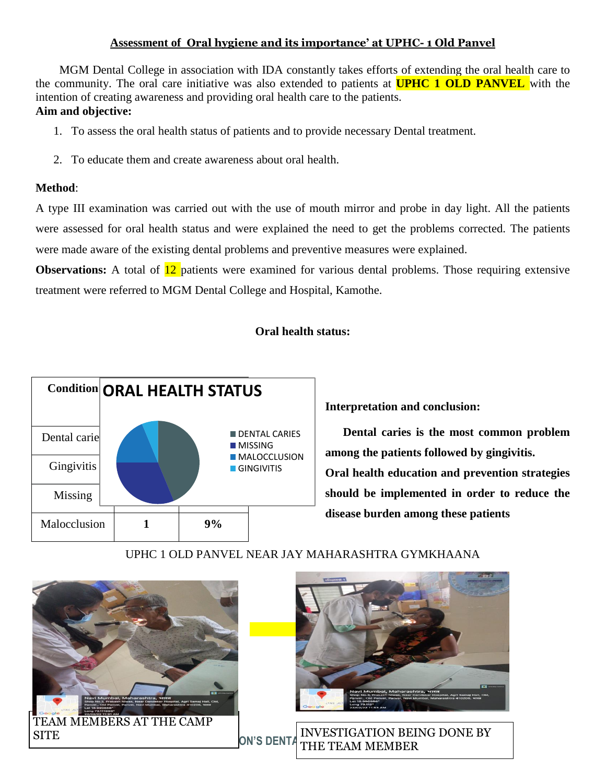### **Assessment of Oral hygiene and its importance' at UPHC- 1 Old Panvel**

 MGM Dental College in association with IDA constantly takes efforts of extending the oral health care to the community. The oral care initiative was also extended to patients at **UPHC 1 OLD PANVEL** with the intention of creating awareness and providing oral health care to the patients. **Aim and objective:**

- 1. To assess the oral health status of patients and to provide necessary Dental treatment.
- 2. To educate them and create awareness about oral health.

### **Method**:

A type III examination was carried out with the use of mouth mirror and probe in day light. All the patients were assessed for oral health status and were explained the need to get the problems corrected. The patients were made aware of the existing dental problems and preventive measures were explained.

**Observations:** A total of  $\frac{12}{2}$  patients were examined for various dental problems. Those requiring extensive treatment were referred to MGM Dental College and Hospital, Kamothe.

### **Oral health status:**



**Interpretation and conclusion:**

 **Dental caries is the most common problem among the patients followed by gingivitis. Oral health education and prevention strategies should be implemented in order to reduce the disease burden among these patients**

# UPHC 1 OLD PANVEL NEAR JAY MAHARASHTRA GYMKHAANA





**MAHATMALIAN COLLEGER IN A FINITAL PROPERTY OF THE TEAM MEMBER** SITE SITE ON'S DENTA THE TEXT OF A MELONE BY